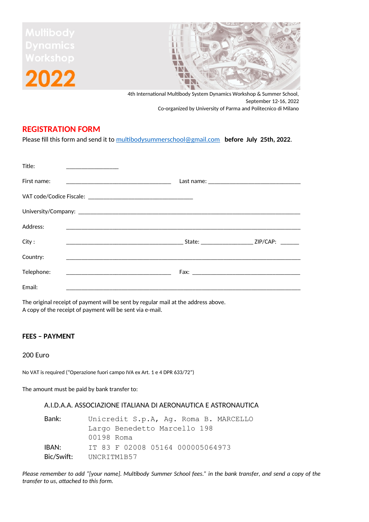

4th International Multibody System Dynamics Workshop & Summer School, September 12-16, 2022 Co-organized by University of Parma and Politecnico di Milano

## **REGISTRATION FORM**

Please fill this form and send it to [multibodysummerschool@gmail.com](mailto:multibodysummerschool@gmail.com) **before July 25th, 2022**.

| Title:      |  |  |
|-------------|--|--|
| First name: |  |  |
|             |  |  |
|             |  |  |
| Address:    |  |  |
| City:       |  |  |
| Country:    |  |  |
| Telephone:  |  |  |
| Email:      |  |  |

The original receipt of payment will be sent by regular mail at the address above. A copy of the receipt of payment will be sent via e-mail.

## **FEES – PAYMENT**

## 200 Euro

No VAT is required ("Operazione fuori campo IVA ex Art. 1 e 4 DPR 633/72")

The amount must be paid by bank transfer to:

## A.I.D.A.A. ASSOCIAZIONE ITALIANA DI AERONAUTICA E ASTRONAUTICA

| Bank:      | Unicredit S.p.A, Aq. Roma B. MARCELLO |
|------------|---------------------------------------|
|            | Largo Benedetto Marcello 198          |
|            | 00198 Roma                            |
| IBAN:      | IT 83 F 02008 05164 000005064973      |
| Bic/Swift: | UNCRITM1B57                           |

*Please remember to add "[your name]. Multibody Summer School fees." in the bank transfer, and send a copy of the transfer to us, attached to this form.*